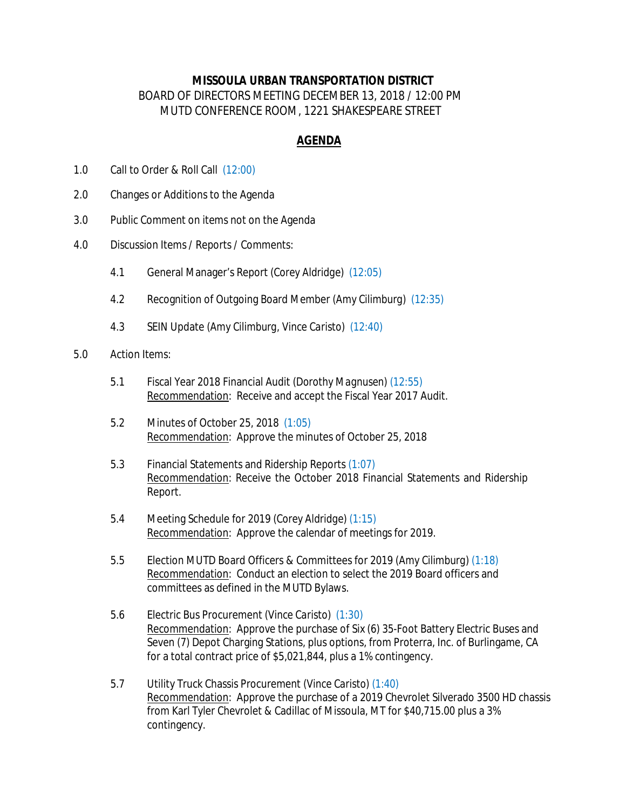## **MISSOULA URBAN TRANSPORTATION DISTRICT** BOARD OF DIRECTORS MEETING DECEMBER 13, 2018 / 12:00 PM MUTD CONFERENCE ROOM, 1221 SHAKESPEARE STREET

## **AGENDA**

- 1.0 Call to Order & Roll Call *(12:00)*
- 2.0 Changes or Additions to the Agenda
- 3.0 Public Comment on items not on the Agenda
- 4.0 Discussion Items / Reports / Comments:
	- 4.1 General Manager's Report *(Corey Aldridge) (12:05)*
	- 4.2 Recognition of Outgoing Board Member *(Amy Cilimburg) (12:35)*
	- 4.3 SEIN Update *(Amy Cilimburg, Vince Caristo) (12:40)*
- 5.0 Action Items:
	- 5.1 Fiscal Year 2018 Financial Audit *(Dorothy Magnusen) (12:55)* Recommendation: Receive and accept the Fiscal Year 2017 Audit.
	- 5.2 Minutes of October 25, 2018 *(1:05)* Recommendation: Approve the minutes of October 25, 2018
	- 5.3 Financial Statements and Ridership Reports *(1:07)* Recommendation: Receive the October 2018 Financial Statements and Ridership Report.
	- 5.4 Meeting Schedule for 2019 *(Corey Aldridge) (1:15)* Recommendation: Approve the calendar of meetings for 2019.
	- 5.5 Election MUTD Board Officers & Committees for 2019 *(Amy Cilimburg) (1:18)* Recommendation: Conduct an election to select the 2019 Board officers and committees as defined in the MUTD Bylaws.
	- 5.6 Electric Bus Procurement *(Vince Caristo) (1:30)* Recommendation: Approve the purchase of Six (6) 35-Foot Battery Electric Buses and Seven (7) Depot Charging Stations, plus options, from Proterra, Inc. of Burlingame, CA for a total contract price of \$5,021,844, plus a 1% contingency.
	- 5.7 Utility Truck Chassis Procurement *(Vince Caristo) (1:40)* Recommendation: Approve the purchase of a 2019 Chevrolet Silverado 3500 HD chassis from Karl Tyler Chevrolet & Cadillac of Missoula, MT for \$40,715.00 plus a 3% contingency.